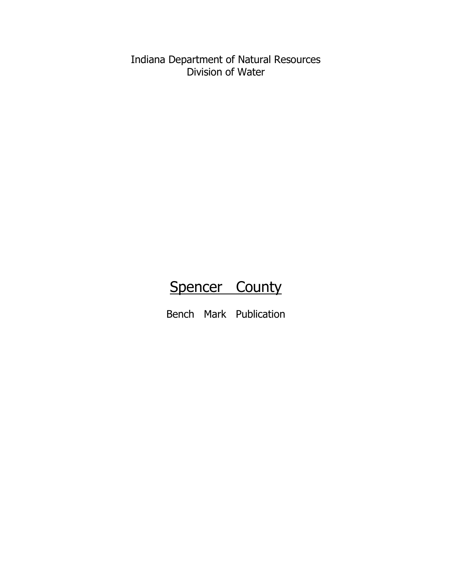Indiana Department of Natural Resources Division of Water

# Spencer County

Bench Mark Publication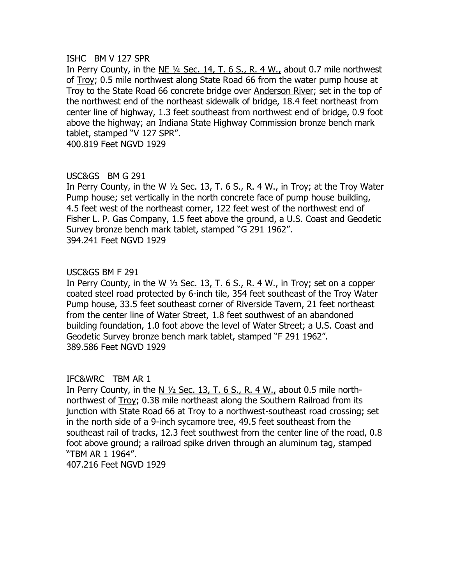#### ISHC BM V 127 SPR

In Perry County, in the NE ¼ Sec. 14, T. 6 S., R. 4 W., about 0.7 mile northwest of Troy; 0.5 mile northwest along State Road 66 from the water pump house at Troy to the State Road 66 concrete bridge over Anderson River; set in the top of the northwest end of the northeast sidewalk of bridge, 18.4 feet northeast from center line of highway, 1.3 feet southeast from northwest end of bridge, 0.9 foot above the highway; an Indiana State Highway Commission bronze bench mark tablet, stamped "V 127 SPR".

400.819 Feet NGVD 1929

# USC&GS BM G 291

In Perry County, in the W  $\frac{1}{2}$  Sec. 13, T. 6 S., R. 4 W., in Troy; at the Troy Water Pump house; set vertically in the north concrete face of pump house building, 4.5 feet west of the northeast corner, 122 feet west of the northwest end of Fisher L. P. Gas Company, 1.5 feet above the ground, a U.S. Coast and Geodetic Survey bronze bench mark tablet, stamped "G 291 1962". 394.241 Feet NGVD 1929

# USC&GS BM F 291

In Perry County, in the W  $\frac{1}{2}$  Sec. 13, T. 6 S., R. 4 W., in Troy; set on a copper coated steel road protected by 6-inch tile, 354 feet southeast of the Troy Water Pump house, 33.5 feet southeast corner of Riverside Tavern, 21 feet northeast from the center line of Water Street, 1.8 feet southwest of an abandoned building foundation, 1.0 foot above the level of Water Street; a U.S. Coast and Geodetic Survey bronze bench mark tablet, stamped "F 291 1962". 389.586 Feet NGVD 1929

# IFC&WRC TBM AR 1

In Perry County, in the N  $\frac{1}{2}$  Sec. 13, T. 6 S., R. 4 W., about 0.5 mile northnorthwest of Troy; 0.38 mile northeast along the Southern Railroad from its junction with State Road 66 at Troy to a northwest-southeast road crossing; set in the north side of a 9-inch sycamore tree, 49.5 feet southeast from the southeast rail of tracks, 12.3 feet southwest from the center line of the road, 0.8 foot above ground; a railroad spike driven through an aluminum tag, stamped "TBM AR 1 1964".

407.216 Feet NGVD 1929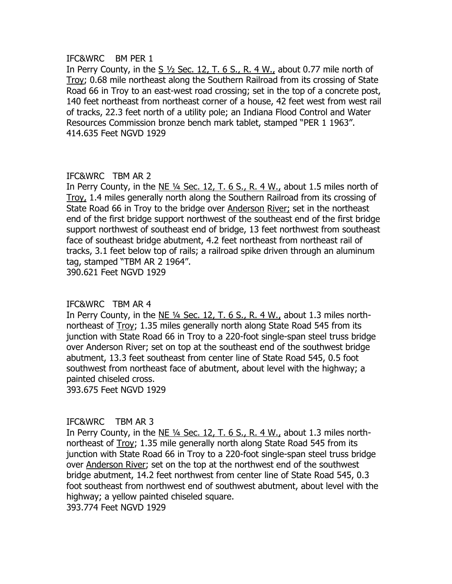#### IFC&WRC BM PER 1

In Perry County, in the S  $1/2$  Sec. 12, T. 6 S., R. 4 W., about 0.77 mile north of Troy; 0.68 mile northeast along the Southern Railroad from its crossing of State Road 66 in Troy to an east-west road crossing; set in the top of a concrete post, 140 feet northeast from northeast corner of a house, 42 feet west from west rail of tracks, 22.3 feet north of a utility pole; an Indiana Flood Control and Water Resources Commission bronze bench mark tablet, stamped "PER 1 1963". 414.635 Feet NGVD 1929

# IFC&WRC TBM AR 2

In Perry County, in the NE ¼ Sec. 12, T. 6 S., R. 4 W., about 1.5 miles north of Troy, 1.4 miles generally north along the Southern Railroad from its crossing of State Road 66 in Troy to the bridge over Anderson River; set in the northeast end of the first bridge support northwest of the southeast end of the first bridge support northwest of southeast end of bridge, 13 feet northwest from southeast face of southeast bridge abutment, 4.2 feet northeast from northeast rail of tracks, 3.1 feet below top of rails; a railroad spike driven through an aluminum tag, stamped "TBM AR 2 1964".

390.621 Feet NGVD 1929

# IFC&WRC TBM AR 4

In Perry County, in the  $NE$  <sup>1/4</sup> Sec. 12, T. 6 S., R. 4 W., about 1.3 miles northnortheast of Troy; 1.35 miles generally north along State Road 545 from its junction with State Road 66 in Troy to a 220-foot single-span steel truss bridge over Anderson River; set on top at the southeast end of the southwest bridge abutment, 13.3 feet southeast from center line of State Road 545, 0.5 foot southwest from northeast face of abutment, about level with the highway; a painted chiseled cross.

393.675 Feet NGVD 1929

# IFC&WRC TBM AR 3

In Perry County, in the  $NE$  <sup>1/4</sup> Sec. 12, T. 6 S., R. 4 W., about 1.3 miles northnortheast of Troy; 1.35 mile generally north along State Road 545 from its junction with State Road 66 in Troy to a 220-foot single-span steel truss bridge over Anderson River; set on the top at the northwest end of the southwest bridge abutment, 14.2 feet northwest from center line of State Road 545, 0.3 foot southeast from northwest end of southwest abutment, about level with the highway; a yellow painted chiseled square. 393.774 Feet NGVD 1929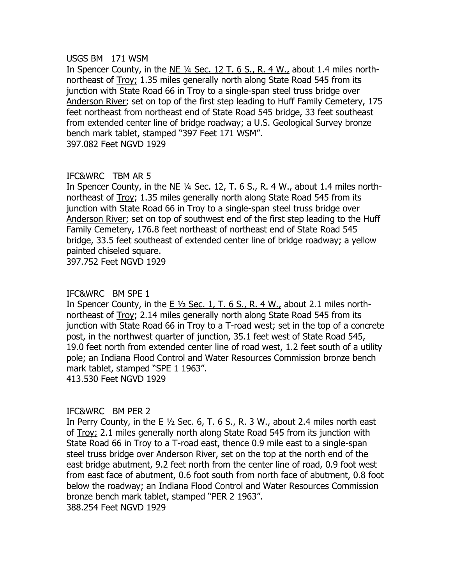#### USGS BM 171 WSM

In Spencer County, in the NE ¼ Sec. 12 T. 6 S., R. 4 W., about 1.4 miles northnortheast of **Troy**; 1.35 miles generally north along State Road 545 from its junction with State Road 66 in Troy to a single-span steel truss bridge over Anderson River; set on top of the first step leading to Huff Family Cemetery, 175 feet northeast from northeast end of State Road 545 bridge, 33 feet southeast from extended center line of bridge roadway; a U.S. Geological Survey bronze bench mark tablet, stamped "397 Feet 171 WSM". 397.082 Feet NGVD 1929

# IFC&WRC TBM AR 5

In Spencer County, in the NE ¼ Sec. 12, T. 6 S., R. 4 W., about 1.4 miles northnortheast of Troy; 1.35 miles generally north along State Road 545 from its junction with State Road 66 in Troy to a single-span steel truss bridge over Anderson River; set on top of southwest end of the first step leading to the Huff Family Cemetery, 176.8 feet northeast of northeast end of State Road 545 bridge, 33.5 feet southeast of extended center line of bridge roadway; a yellow painted chiseled square.

397.752 Feet NGVD 1929

# IFC&WRC BM SPE 1

In Spencer County, in the E ½ Sec. 1, T. 6 S., R. 4 W., about 2.1 miles northnortheast of Troy; 2.14 miles generally north along State Road 545 from its junction with State Road 66 in Troy to a T-road west; set in the top of a concrete post, in the northwest quarter of junction, 35.1 feet west of State Road 545, 19.0 feet north from extended center line of road west, 1.2 feet south of a utility pole; an Indiana Flood Control and Water Resources Commission bronze bench mark tablet, stamped "SPE 1 1963". 413.530 Feet NGVD 1929

# IFC&WRC BM PER 2

In Perry County, in the E  $1/2$  Sec. 6, T. 6 S., R. 3 W., about 2.4 miles north east of Troy; 2.1 miles generally north along State Road 545 from its junction with State Road 66 in Troy to a T-road east, thence 0.9 mile east to a single-span steel truss bridge over Anderson River, set on the top at the north end of the east bridge abutment, 9.2 feet north from the center line of road, 0.9 foot west from east face of abutment, 0.6 foot south from north face of abutment, 0.8 foot below the roadway; an Indiana Flood Control and Water Resources Commission bronze bench mark tablet, stamped "PER 2 1963". 388.254 Feet NGVD 1929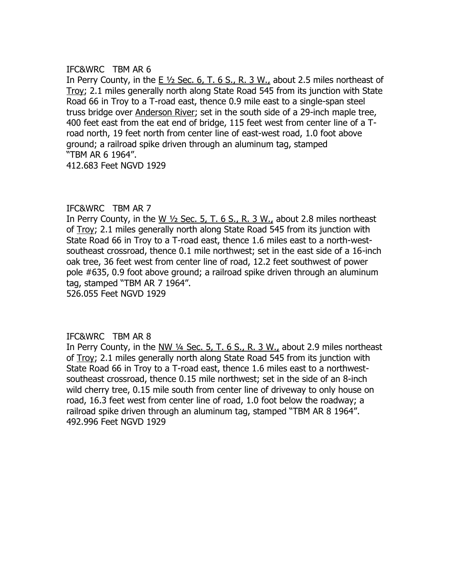In Perry County, in the  $E\frac{1}{2}$  Sec. 6, T. 6 S., R. 3 W., about 2.5 miles northeast of Troy; 2.1 miles generally north along State Road 545 from its junction with State Road 66 in Troy to a T-road east, thence 0.9 mile east to a single-span steel truss bridge over Anderson River; set in the south side of a 29-inch maple tree, 400 feet east from the eat end of bridge, 115 feet west from center line of a Troad north, 19 feet north from center line of east-west road, 1.0 foot above ground; a railroad spike driven through an aluminum tag, stamped "TBM AR 6 1964".

412.683 Feet NGVD 1929

# IFC&WRC TBM AR 7

In Perry County, in the W ½ Sec. 5, T. 6 S., R. 3 W., about 2.8 miles northeast of Troy; 2.1 miles generally north along State Road 545 from its junction with State Road 66 in Troy to a T-road east, thence 1.6 miles east to a north-westsoutheast crossroad, thence 0.1 mile northwest; set in the east side of a 16-inch oak tree, 36 feet west from center line of road, 12.2 feet southwest of power pole #635, 0.9 foot above ground; a railroad spike driven through an aluminum tag, stamped "TBM AR 7 1964". 526.055 Feet NGVD 1929

# IFC&WRC TBM AR 8

In Perry County, in the NW  $\frac{1}{4}$  Sec. 5, T. 6 S., R. 3 W., about 2.9 miles northeast of Troy; 2.1 miles generally north along State Road 545 from its junction with State Road 66 in Troy to a T-road east, thence 1.6 miles east to a northwestsoutheast crossroad, thence 0.15 mile northwest; set in the side of an 8-inch wild cherry tree, 0.15 mile south from center line of driveway to only house on road, 16.3 feet west from center line of road, 1.0 foot below the roadway; a railroad spike driven through an aluminum tag, stamped "TBM AR 8 1964". 492.996 Feet NGVD 1929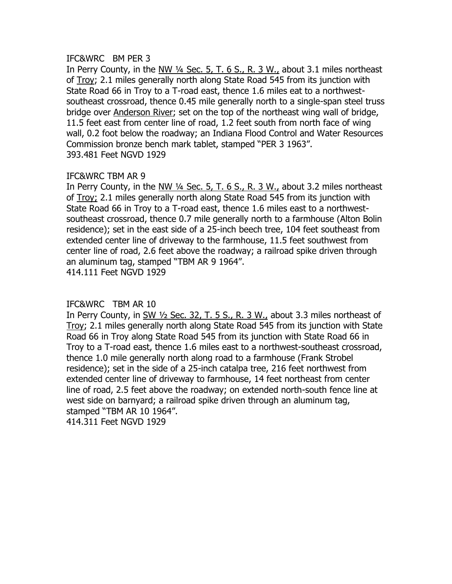# IFC&WRC BM PER 3

In Perry County, in the NW ¼ Sec. 5, T. 6 S., R. 3 W., about 3.1 miles northeast of Troy; 2.1 miles generally north along State Road 545 from its junction with State Road 66 in Troy to a T-road east, thence 1.6 miles eat to a northwestsoutheast crossroad, thence 0.45 mile generally north to a single-span steel truss bridge over Anderson River; set on the top of the northeast wing wall of bridge, 11.5 feet east from center line of road, 1.2 feet south from north face of wing wall, 0.2 foot below the roadway; an Indiana Flood Control and Water Resources Commission bronze bench mark tablet, stamped "PER 3 1963". 393.481 Feet NGVD 1929

# IFC&WRC TBM AR 9

In Perry County, in the NW ¼ Sec. 5, T. 6 S., R. 3 W., about 3.2 miles northeast of Troy; 2.1 miles generally north along State Road 545 from its junction with State Road 66 in Troy to a T-road east, thence 1.6 miles east to a northwestsoutheast crossroad, thence 0.7 mile generally north to a farmhouse (Alton Bolin residence); set in the east side of a 25-inch beech tree, 104 feet southeast from extended center line of driveway to the farmhouse, 11.5 feet southwest from center line of road, 2.6 feet above the roadway; a railroad spike driven through an aluminum tag, stamped "TBM AR 9 1964".

414.111 Feet NGVD 1929

# IFC&WRC TBM AR 10

In Perry County, in  $\frac{SW 1}{2}$  Sec. 32, T. 5 S., R. 3 W., about 3.3 miles northeast of Troy; 2.1 miles generally north along State Road 545 from its junction with State Road 66 in Troy along State Road 545 from its junction with State Road 66 in Troy to a T-road east, thence 1.6 miles east to a northwest-southeast crossroad, thence 1.0 mile generally north along road to a farmhouse (Frank Strobel residence); set in the side of a 25-inch catalpa tree, 216 feet northwest from extended center line of driveway to farmhouse, 14 feet northeast from center line of road, 2.5 feet above the roadway; on extended north-south fence line at west side on barnyard; a railroad spike driven through an aluminum tag, stamped "TBM AR 10 1964".

414.311 Feet NGVD 1929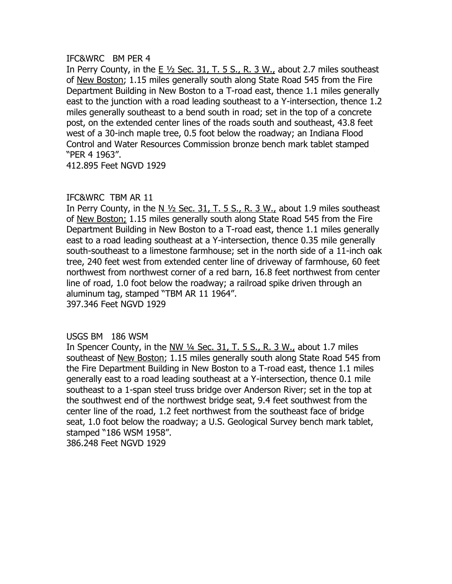#### IFC&WRC BM PER 4

In Perry County, in the E ½ Sec. 31, T. 5 S., R. 3 W., about 2.7 miles southeast of New Boston; 1.15 miles generally south along State Road 545 from the Fire Department Building in New Boston to a T-road east, thence 1.1 miles generally east to the junction with a road leading southeast to a Y-intersection, thence 1.2 miles generally southeast to a bend south in road; set in the top of a concrete post, on the extended center lines of the roads south and southeast, 43.8 feet west of a 30-inch maple tree, 0.5 foot below the roadway; an Indiana Flood Control and Water Resources Commission bronze bench mark tablet stamped "PER 4 1963".

412.895 Feet NGVD 1929

# IFC&WRC TBM AR 11

In Perry County, in the N  $\frac{1}{2}$  Sec. 31, T. 5 S., R. 3 W., about 1.9 miles southeast of New Boston; 1.15 miles generally south along State Road 545 from the Fire Department Building in New Boston to a T-road east, thence 1.1 miles generally east to a road leading southeast at a Y-intersection, thence 0.35 mile generally south-southeast to a limestone farmhouse; set in the north side of a 11-inch oak tree, 240 feet west from extended center line of driveway of farmhouse, 60 feet northwest from northwest corner of a red barn, 16.8 feet northwest from center line of road, 1.0 foot below the roadway; a railroad spike driven through an aluminum tag, stamped "TBM AR 11 1964". 397.346 Feet NGVD 1929

# USGS BM 186 WSM

In Spencer County, in the  $NW$   $\frac{1}{4}$  Sec. 31, T. 5 S., R. 3 W., about 1.7 miles southeast of New Boston; 1.15 miles generally south along State Road 545 from the Fire Department Building in New Boston to a T-road east, thence 1.1 miles generally east to a road leading southeast at a Y-intersection, thence 0.1 mile southeast to a 1-span steel truss bridge over Anderson River; set in the top at the southwest end of the northwest bridge seat, 9.4 feet southwest from the center line of the road, 1.2 feet northwest from the southeast face of bridge seat, 1.0 foot below the roadway; a U.S. Geological Survey bench mark tablet, stamped "186 WSM 1958". 386.248 Feet NGVD 1929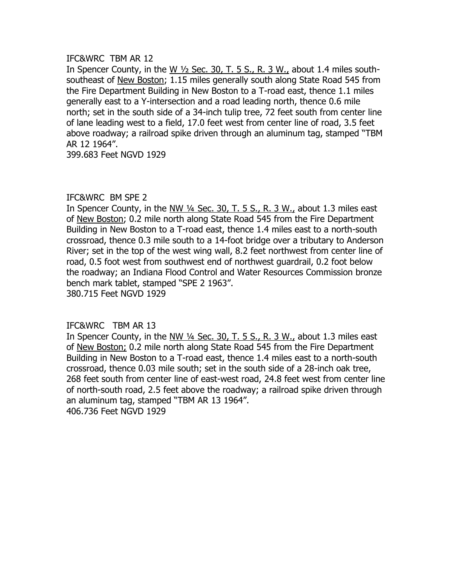In Spencer County, in the W ½ Sec. 30, T. 5 S., R. 3 W., about 1.4 miles southsoutheast of New Boston; 1.15 miles generally south along State Road 545 from the Fire Department Building in New Boston to a T-road east, thence 1.1 miles generally east to a Y-intersection and a road leading north, thence 0.6 mile north; set in the south side of a 34-inch tulip tree, 72 feet south from center line of lane leading west to a field, 17.0 feet west from center line of road, 3.5 feet above roadway; a railroad spike driven through an aluminum tag, stamped "TBM AR 12 1964".

399.683 Feet NGVD 1929

#### IFC&WRC BM SPE 2

In Spencer County, in the  $N_{\text{W}}$  1/4 Sec. 30, T. 5 S., R. 3 W., about 1.3 miles east of New Boston; 0.2 mile north along State Road 545 from the Fire Department Building in New Boston to a T-road east, thence 1.4 miles east to a north-south crossroad, thence 0.3 mile south to a 14-foot bridge over a tributary to Anderson River; set in the top of the west wing wall, 8.2 feet northwest from center line of road, 0.5 foot west from southwest end of northwest guardrail, 0.2 foot below the roadway; an Indiana Flood Control and Water Resources Commission bronze bench mark tablet, stamped "SPE 2 1963". 380.715 Feet NGVD 1929

# IFC&WRC TBM AR 13

In Spencer County, in the NW ¼ Sec. 30, T. 5 S., R. 3 W., about 1.3 miles east of New Boston; 0.2 mile north along State Road 545 from the Fire Department Building in New Boston to a T-road east, thence 1.4 miles east to a north-south crossroad, thence 0.03 mile south; set in the south side of a 28-inch oak tree, 268 feet south from center line of east-west road, 24.8 feet west from center line of north-south road, 2.5 feet above the roadway; a railroad spike driven through an aluminum tag, stamped "TBM AR 13 1964". 406.736 Feet NGVD 1929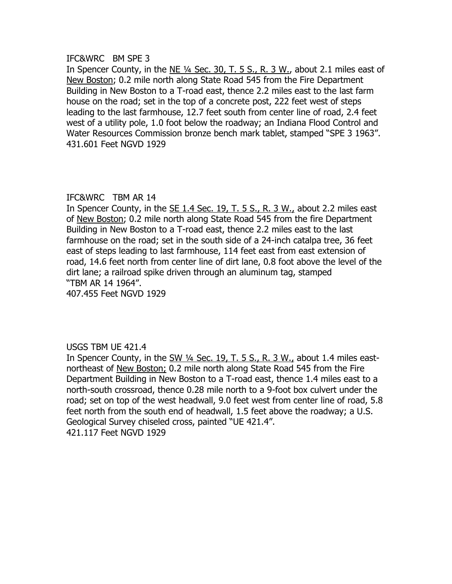#### IFC&WRC BM SPE 3

In Spencer County, in the NE ¼ Sec. 30, T. 5 S., R. 3 W., about 2.1 miles east of New Boston; 0.2 mile north along State Road 545 from the Fire Department Building in New Boston to a T-road east, thence 2.2 miles east to the last farm house on the road; set in the top of a concrete post, 222 feet west of steps leading to the last farmhouse, 12.7 feet south from center line of road, 2.4 feet west of a utility pole, 1.0 foot below the roadway; an Indiana Flood Control and Water Resources Commission bronze bench mark tablet, stamped "SPE 3 1963". 431.601 Feet NGVD 1929

# IFC&WRC TBM AR 14

In Spencer County, in the  $SE$  1.4 Sec. 19, T. 5 S., R. 3 W., about 2.2 miles east of New Boston; 0.2 mile north along State Road 545 from the fire Department Building in New Boston to a T-road east, thence 2.2 miles east to the last farmhouse on the road; set in the south side of a 24-inch catalpa tree, 36 feet east of steps leading to last farmhouse, 114 feet east from east extension of road, 14.6 feet north from center line of dirt lane, 0.8 foot above the level of the dirt lane; a railroad spike driven through an aluminum tag, stamped "TBM AR 14 1964".

407.455 Feet NGVD 1929

# USGS TBM UE 421.4

In Spencer County, in the SW ¼ Sec. 19, T. 5 S., R. 3 W., about 1.4 miles eastnortheast of New Boston; 0.2 mile north along State Road 545 from the Fire Department Building in New Boston to a T-road east, thence 1.4 miles east to a north-south crossroad, thence 0.28 mile north to a 9-foot box culvert under the road; set on top of the west headwall, 9.0 feet west from center line of road, 5.8 feet north from the south end of headwall, 1.5 feet above the roadway; a U.S. Geological Survey chiseled cross, painted "UE 421.4". 421.117 Feet NGVD 1929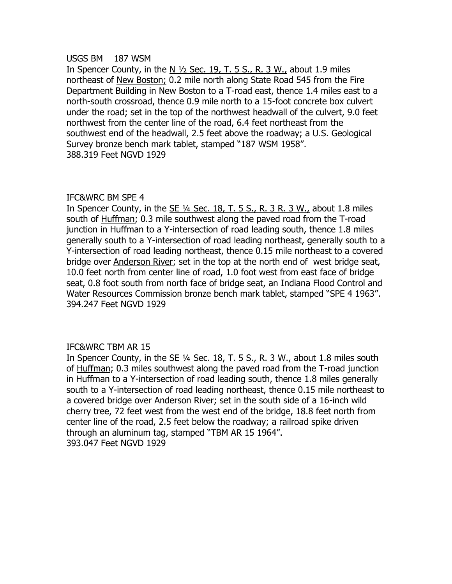#### USGS BM 187 WSM

In Spencer County, in the N  $\frac{1}{2}$  Sec. 19, T. 5 S., R. 3 W., about 1.9 miles northeast of New Boston; 0.2 mile north along State Road 545 from the Fire Department Building in New Boston to a T-road east, thence 1.4 miles east to a north-south crossroad, thence 0.9 mile north to a 15-foot concrete box culvert under the road; set in the top of the northwest headwall of the culvert, 9.0 feet northwest from the center line of the road, 6.4 feet northeast from the southwest end of the headwall, 2.5 feet above the roadway; a U.S. Geological Survey bronze bench mark tablet, stamped "187 WSM 1958". 388.319 Feet NGVD 1929

# IFC&WRC BM SPE 4

In Spencer County, in the  $SE$  ¼ Sec. 18, T. 5 S., R. 3 R. 3 W., about 1.8 miles south of Huffman; 0.3 mile southwest along the paved road from the T-road junction in Huffman to a Y-intersection of road leading south, thence 1.8 miles generally south to a Y-intersection of road leading northeast, generally south to a Y-intersection of road leading northeast, thence 0.15 mile northeast to a covered bridge over Anderson River; set in the top at the north end of west bridge seat, 10.0 feet north from center line of road, 1.0 foot west from east face of bridge seat, 0.8 foot south from north face of bridge seat, an Indiana Flood Control and Water Resources Commission bronze bench mark tablet, stamped "SPE 4 1963". 394.247 Feet NGVD 1929

# IFC&WRC TBM AR 15

In Spencer County, in the SE ¼ Sec. 18, T. 5 S., R. 3 W., about 1.8 miles south of Huffman; 0.3 miles southwest along the paved road from the T-road junction in Huffman to a Y-intersection of road leading south, thence 1.8 miles generally south to a Y-intersection of road leading northeast, thence 0.15 mile northeast to a covered bridge over Anderson River; set in the south side of a 16-inch wild cherry tree, 72 feet west from the west end of the bridge, 18.8 feet north from center line of the road, 2.5 feet below the roadway; a railroad spike driven through an aluminum tag, stamped "TBM AR 15 1964". 393.047 Feet NGVD 1929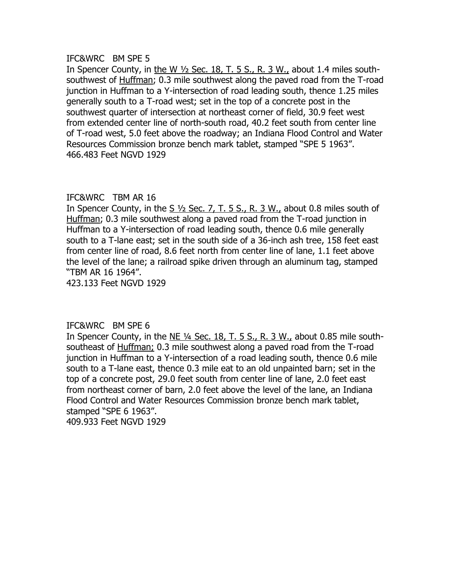#### IFC&WRC BM SPE 5

In Spencer County, in the W ½ Sec. 18, T. 5 S., R. 3 W., about 1.4 miles southsouthwest of Huffman; 0.3 mile southwest along the paved road from the T-road junction in Huffman to a Y-intersection of road leading south, thence 1.25 miles generally south to a T-road west; set in the top of a concrete post in the southwest quarter of intersection at northeast corner of field, 30.9 feet west from extended center line of north-south road, 40.2 feet south from center line of T-road west, 5.0 feet above the roadway; an Indiana Flood Control and Water Resources Commission bronze bench mark tablet, stamped "SPE 5 1963". 466.483 Feet NGVD 1929

# IFC&WRC TBM AR 16

In Spencer County, in the  $S\frac{1}{2}$  Sec. 7, T. 5 S., R. 3 W., about 0.8 miles south of Huffman; 0.3 mile southwest along a paved road from the T-road junction in Huffman to a Y-intersection of road leading south, thence 0.6 mile generally south to a T-lane east; set in the south side of a 36-inch ash tree, 158 feet east from center line of road, 8.6 feet north from center line of lane, 1.1 feet above the level of the lane; a railroad spike driven through an aluminum tag, stamped "TBM AR 16 1964".

423.133 Feet NGVD 1929

# IFC&WRC BM SPE 6

In Spencer County, in the  $NE$  <sup>1/4</sup> Sec. 18, T. 5 S., R. 3 W., about 0.85 mile southsoutheast of Huffman; 0.3 mile southwest along a paved road from the T-road junction in Huffman to a Y-intersection of a road leading south, thence 0.6 mile south to a T-lane east, thence 0.3 mile eat to an old unpainted barn; set in the top of a concrete post, 29.0 feet south from center line of lane, 2.0 feet east from northeast corner of barn, 2.0 feet above the level of the lane, an Indiana Flood Control and Water Resources Commission bronze bench mark tablet, stamped "SPE 6 1963". 409.933 Feet NGVD 1929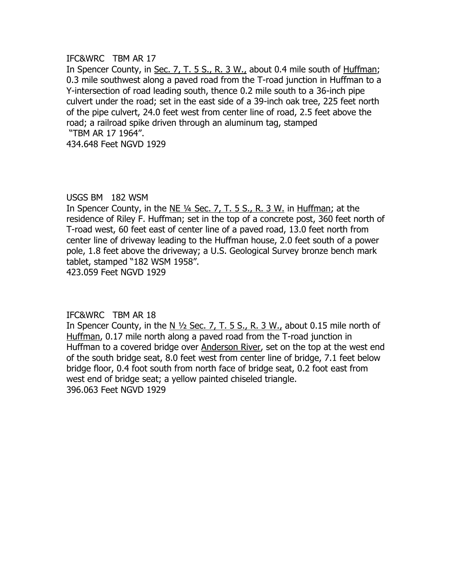In Spencer County, in Sec. 7, T. 5 S., R. 3 W., about 0.4 mile south of Huffman; 0.3 mile southwest along a paved road from the T-road junction in Huffman to a Y-intersection of road leading south, thence 0.2 mile south to a 36-inch pipe culvert under the road; set in the east side of a 39-inch oak tree, 225 feet north of the pipe culvert, 24.0 feet west from center line of road, 2.5 feet above the road; a railroad spike driven through an aluminum tag, stamped "TBM AR 17 1964".

434.648 Feet NGVD 1929

#### USGS BM 182 WSM

In Spencer County, in the  $NE$  <sup>1/4</sup> Sec. 7, T. 5 S., R. 3 W. in Huffman; at the residence of Riley F. Huffman; set in the top of a concrete post, 360 feet north of T-road west, 60 feet east of center line of a paved road, 13.0 feet north from center line of driveway leading to the Huffman house, 2.0 feet south of a power pole, 1.8 feet above the driveway; a U.S. Geological Survey bronze bench mark tablet, stamped "182 WSM 1958".

423.059 Feet NGVD 1929

# IFC&WRC TBM AR 18

In Spencer County, in the N  $\frac{1}{2}$  Sec. 7, T. 5 S., R. 3 W., about 0.15 mile north of Huffman, 0.17 mile north along a paved road from the T-road junction in Huffman to a covered bridge over Anderson River, set on the top at the west end of the south bridge seat, 8.0 feet west from center line of bridge, 7.1 feet below bridge floor, 0.4 foot south from north face of bridge seat, 0.2 foot east from west end of bridge seat; a yellow painted chiseled triangle. 396.063 Feet NGVD 1929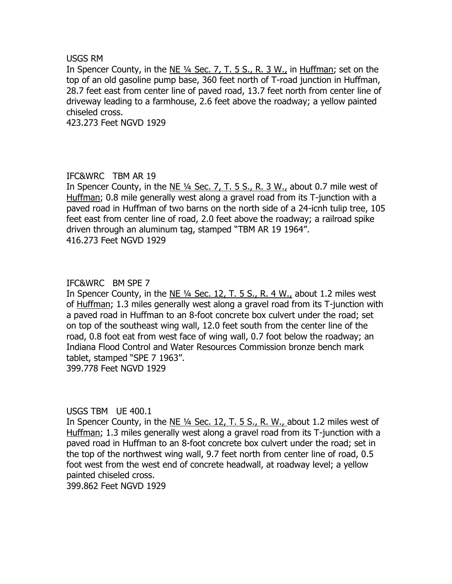#### USGS RM

In Spencer County, in the NE ¼ Sec. 7, T. 5 S., R. 3 W., in Huffman; set on the top of an old gasoline pump base, 360 feet north of T-road junction in Huffman, 28.7 feet east from center line of paved road, 13.7 feet north from center line of driveway leading to a farmhouse, 2.6 feet above the roadway; a yellow painted chiseled cross.

423.273 Feet NGVD 1929

# IFC&WRC TBM AR 19

In Spencer County, in the NE ¼ Sec. 7, T. 5 S., R. 3 W., about 0.7 mile west of Huffman; 0.8 mile generally west along a gravel road from its T-junction with a paved road in Huffman of two barns on the north side of a 24-icnh tulip tree, 105 feet east from center line of road, 2.0 feet above the roadway; a railroad spike driven through an aluminum tag, stamped "TBM AR 19 1964". 416.273 Feet NGVD 1929

#### IFC&WRC BM SPE 7

In Spencer County, in the NE ¼ Sec. 12, T. 5 S., R. 4 W., about 1.2 miles west of Huffman; 1.3 miles generally west along a gravel road from its T-junction with a paved road in Huffman to an 8-foot concrete box culvert under the road; set on top of the southeast wing wall, 12.0 feet south from the center line of the road, 0.8 foot eat from west face of wing wall, 0.7 foot below the roadway; an Indiana Flood Control and Water Resources Commission bronze bench mark tablet, stamped "SPE 7 1963". 399.778 Feet NGVD 1929

USGS TBM UE 400.1

In Spencer County, in the NE ¼ Sec. 12, T. 5 S., R. W., about 1.2 miles west of Huffman; 1.3 miles generally west along a gravel road from its T-junction with a paved road in Huffman to an 8-foot concrete box culvert under the road; set in the top of the northwest wing wall, 9.7 feet north from center line of road, 0.5 foot west from the west end of concrete headwall, at roadway level; a yellow painted chiseled cross.

399.862 Feet NGVD 1929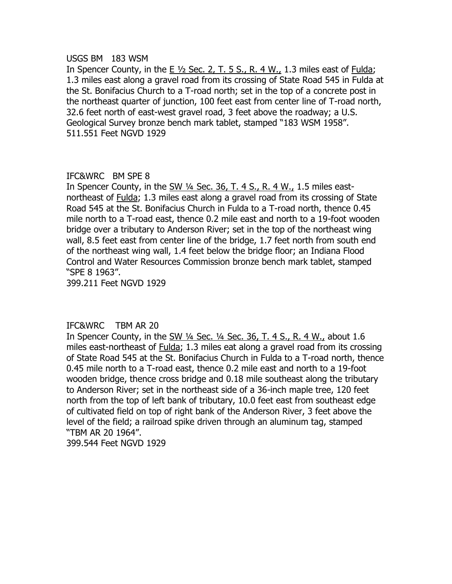#### USGS BM 183 WSM

In Spencer County, in the E ½ Sec. 2, T. 5 S., R. 4 W., 1.3 miles east of Fulda; 1.3 miles east along a gravel road from its crossing of State Road 545 in Fulda at the St. Bonifacius Church to a T-road north; set in the top of a concrete post in the northeast quarter of junction, 100 feet east from center line of T-road north, 32.6 feet north of east-west gravel road, 3 feet above the roadway; a U.S. Geological Survey bronze bench mark tablet, stamped "183 WSM 1958". 511.551 Feet NGVD 1929

# IFC&WRC BM SPE 8

In Spencer County, in the SW 1/4 Sec. 36, T. 4 S., R. 4 W., 1.5 miles eastnortheast of Fulda; 1.3 miles east along a gravel road from its crossing of State Road 545 at the St. Bonifacius Church in Fulda to a T-road north, thence 0.45 mile north to a T-road east, thence 0.2 mile east and north to a 19-foot wooden bridge over a tributary to Anderson River; set in the top of the northeast wing wall, 8.5 feet east from center line of the bridge, 1.7 feet north from south end of the northeast wing wall, 1.4 feet below the bridge floor; an Indiana Flood Control and Water Resources Commission bronze bench mark tablet, stamped "SPE 8 1963".

399.211 Feet NGVD 1929

# IFC&WRC TBM AR 20

In Spencer County, in the SW ¼ Sec. ¼ Sec. 36, T. 4 S., R. 4 W., about 1.6 miles east-northeast of **Fulda**; 1.3 miles eat along a gravel road from its crossing of State Road 545 at the St. Bonifacius Church in Fulda to a T-road north, thence 0.45 mile north to a T-road east, thence 0.2 mile east and north to a 19-foot wooden bridge, thence cross bridge and 0.18 mile southeast along the tributary to Anderson River; set in the northeast side of a 36-inch maple tree, 120 feet north from the top of left bank of tributary, 10.0 feet east from southeast edge of cultivated field on top of right bank of the Anderson River, 3 feet above the level of the field; a railroad spike driven through an aluminum tag, stamped "TBM AR 20 1964".

399.544 Feet NGVD 1929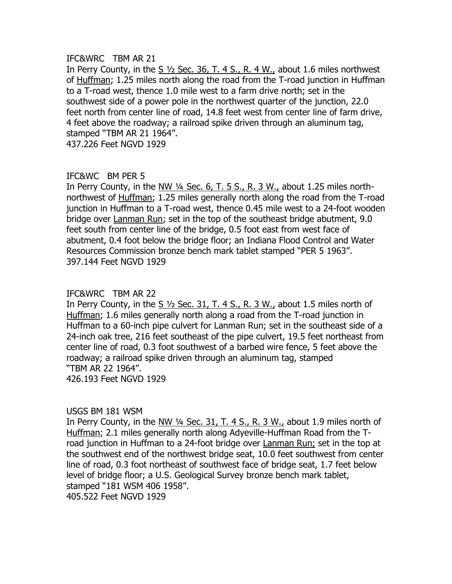In Perry County, in the S ½ Sec. 36, T. 4 S., R. 4 W., about 1.6 miles northwest of Huffman; 1.25 miles north along the road from the T-road junction in Huffman to a T-road west, thence 1.0 mile west to a farm drive north; set in the southwest side of a power pole in the northwest quarter of the junction, 22.0 feet north from center line of road, 14.8 feet west from center line of farm drive, 4 feet above the roadway; a railroad spike driven through an aluminum tag, stamped "TBM AR 21 1964".

437.226 Feet NGVD 1929

# IFC&WC BM PER 5

In Perry County, in the NW  $\frac{1}{4}$  Sec. 6, T. 5 S., R. 3 W., about 1.25 miles northnorthwest of Huffman; 1.25 miles generally north along the road from the T-road junction in Huffman to a T-road west, thence 0.45 mile west to a 24-foot wooden bridge over Lanman Run; set in the top of the southeast bridge abutment, 9.0 feet south from center line of the bridge, 0.5 foot east from west face of abutment, 0.4 foot below the bridge floor; an Indiana Flood Control and Water Resources Commission bronze bench mark tablet stamped "PER 5 1963". 397.144 Feet NGVD 1929

# IFC&WRC TBM AR 22

In Perry County, in the S  $1/2$  Sec. 31, T. 4 S., R. 3 W., about 1.5 miles north of Huffman; 1.6 miles generally north along a road from the T-road junction in Huffman to a 60-inch pipe culvert for Lanman Run; set in the southeast side of a 24-inch oak tree, 216 feet southeast of the pipe culvert, 19.5 feet northeast from center line of road, 0.3 foot southwest of a barbed wire fence, 5 feet above the roadway; a railroad spike driven through an aluminum tag, stamped "TBM AR 22 1964". 426.193 Feet NGVD 1929

# USGS BM 181 WSM

In Perry County, in the NW ¼ Sec. 31, T. 4 S., R. 3 W., about 1.9 miles north of Huffman; 2.1 miles generally north along Adyeville-Huffman Road from the Troad junction in Huffman to a 24-foot bridge over Lanman Run; set in the top at the southwest end of the northwest bridge seat, 10.0 feet southwest from center line of road, 0.3 foot northeast of southwest face of bridge seat, 1.7 feet below level of bridge floor; a U.S. Geological Survey bronze bench mark tablet, stamped "181 WSM 406 1958". 405.522 Feet NGVD 1929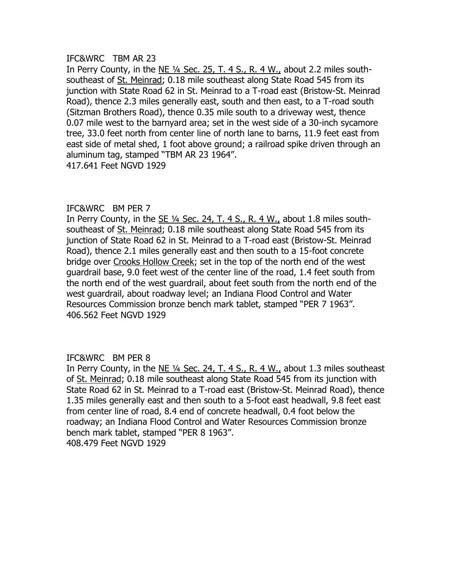In Perry County, in the NE ¼ Sec. 25, T. 4 S., R. 4 W., about 2.2 miles southsoutheast of St. Meinrad; 0.18 mile southeast along State Road 545 from its junction with State Road 62 in St. Meinrad to a T-road east (Bristow-St. Meinrad Road), thence 2.3 miles generally east, south and then east, to a T-road south (Sitzman Brothers Road), thence 0.35 mile south to a driveway west, thence 0.07 mile west to the barnyard area; set in the west side of a 30-inch sycamore tree, 33.0 feet north from center line of north lane to barns, 11.9 feet east from east side of metal shed, 1 foot above ground; a railroad spike driven through an aluminum tag, stamped "TBM AR 23 1964".

417.641 Feet NGVD 1929

# IFC&WRC BM PER 7

In Perry County, in the SE ¼ Sec. 24, T. 4 S., R. 4 W., about 1.8 miles southsoutheast of St. Meinrad; 0.18 mile southeast along State Road 545 from its junction of State Road 62 in St. Meinrad to a T-road east (Bristow-St. Meinrad Road), thence 2.1 miles generally east and then south to a 15-foot concrete bridge over Crooks Hollow Creek; set in the top of the north end of the west guardrail base, 9.0 feet west of the center line of the road, 1.4 feet south from the north end of the west guardrail, about feet south from the north end of the west guardrail, about roadway level; an Indiana Flood Control and Water Resources Commission bronze bench mark tablet, stamped "PER 7 1963". 406.562 Feet NGVD 1929

# IFC&WRC BM PER 8

In Perry County, in the  $NE$  <sup>1/4</sup> Sec. 24, T. 4 S., R. 4 W., about 1.3 miles southeast of St. Meinrad; 0.18 mile southeast along State Road 545 from its junction with State Road 62 in St. Meinrad to a T-road east (Bristow-St. Meinrad Road), thence 1.35 miles generally east and then south to a 5-foot east headwall, 9.8 feet east from center line of road, 8.4 end of concrete headwall, 0.4 foot below the roadway; an Indiana Flood Control and Water Resources Commission bronze bench mark tablet, stamped "PER 8 1963". 408.479 Feet NGVD 1929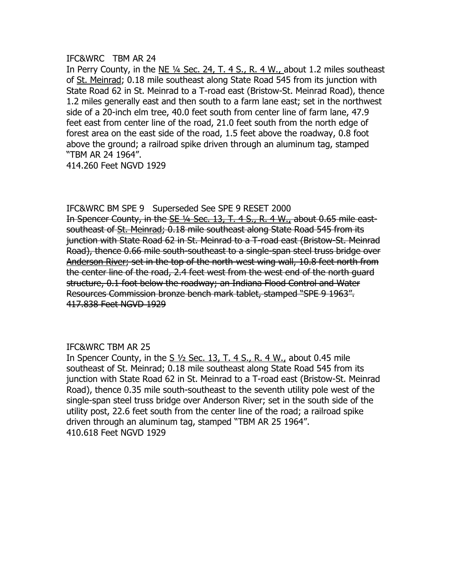In Perry County, in the NE  $\frac{1}{4}$  Sec. 24, T. 4 S., R. 4 W., about 1.2 miles southeast of St. Meinrad; 0.18 mile southeast along State Road 545 from its junction with State Road 62 in St. Meinrad to a T-road east (Bristow-St. Meinrad Road), thence 1.2 miles generally east and then south to a farm lane east; set in the northwest side of a 20-inch elm tree, 40.0 feet south from center line of farm lane, 47.9 feet east from center line of the road, 21.0 feet south from the north edge of forest area on the east side of the road, 1.5 feet above the roadway, 0.8 foot above the ground; a railroad spike driven through an aluminum tag, stamped "TBM AR 24 1964".

414.260 Feet NGVD 1929

#### IFC&WRC BM SPE 9 Superseded See SPE 9 RESET 2000

In Spencer County, in the SE 1/4 Sec. 13, T. 4 S., R. 4 W., about 0.65 mile eastsoutheast of St. Meinrad; 0.18 mile southeast along State Road 545 from its junction with State Road 62 in St. Meinrad to a T-road east (Bristow-St. Meinrad Road), thence 0.66 mile south-southeast to a single-span steel truss bridge over Anderson River; set in the top of the north-west wing wall, 10.8 feet north from the center line of the road, 2.4 feet west from the west end of the north guard structure, 0.1 foot below the roadway; an Indiana Flood Control and Water Resources Commission bronze bench mark tablet, stamped "SPE 9 1963". 417.838 Feet NGVD 1929

# IFC&WRC TBM AR 25

In Spencer County, in the S  $\frac{1}{2}$  Sec. 13, T. 4 S., R. 4 W., about 0.45 mile southeast of St. Meinrad; 0.18 mile southeast along State Road 545 from its junction with State Road 62 in St. Meinrad to a T-road east (Bristow-St. Meinrad Road), thence 0.35 mile south-southeast to the seventh utility pole west of the single-span steel truss bridge over Anderson River; set in the south side of the utility post, 22.6 feet south from the center line of the road; a railroad spike driven through an aluminum tag, stamped "TBM AR 25 1964". 410.618 Feet NGVD 1929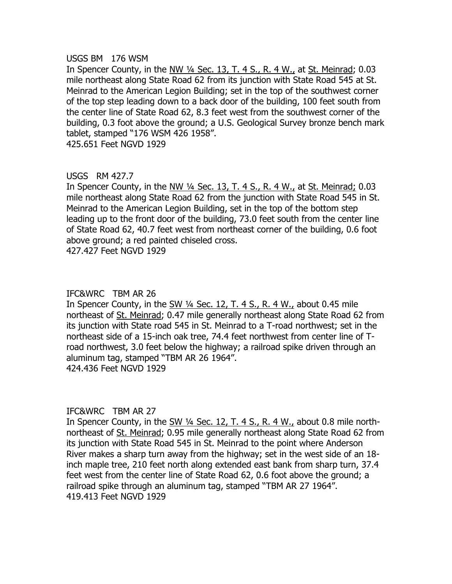#### USGS BM 176 WSM

In Spencer County, in the NW  $\frac{1}{4}$  Sec. 13, T. 4 S., R. 4 W., at St. Meinrad; 0.03 mile northeast along State Road 62 from its junction with State Road 545 at St. Meinrad to the American Legion Building; set in the top of the southwest corner of the top step leading down to a back door of the building, 100 feet south from the center line of State Road 62, 8.3 feet west from the southwest corner of the building, 0.3 foot above the ground; a U.S. Geological Survey bronze bench mark tablet, stamped "176 WSM 426 1958".

425.651 Feet NGVD 1929

# USGS RM 427.7

In Spencer County, in the NW ¼ Sec. 13, T. 4 S., R. 4 W., at St. Meinrad; 0.03 mile northeast along State Road 62 from the junction with State Road 545 in St. Meinrad to the American Legion Building, set in the top of the bottom step leading up to the front door of the building, 73.0 feet south from the center line of State Road 62, 40.7 feet west from northeast corner of the building, 0.6 foot above ground; a red painted chiseled cross.

427.427 Feet NGVD 1929

# IFC&WRC TBM AR 26

In Spencer County, in the SW ¼ Sec. 12, T. 4 S., R. 4 W., about 0.45 mile northeast of St. Meinrad; 0.47 mile generally northeast along State Road 62 from its junction with State road 545 in St. Meinrad to a T-road northwest; set in the northeast side of a 15-inch oak tree, 74.4 feet northwest from center line of Troad northwest, 3.0 feet below the highway; a railroad spike driven through an aluminum tag, stamped "TBM AR 26 1964". 424.436 Feet NGVD 1929

# IFC&WRC TBM AR 27

In Spencer County, in the SW ¼ Sec. 12, T. 4 S., R. 4 W., about 0.8 mile northnortheast of St. Meinrad; 0.95 mile generally northeast along State Road 62 from its junction with State Road 545 in St. Meinrad to the point where Anderson River makes a sharp turn away from the highway; set in the west side of an 18 inch maple tree, 210 feet north along extended east bank from sharp turn, 37.4 feet west from the center line of State Road 62, 0.6 foot above the ground; a railroad spike through an aluminum tag, stamped "TBM AR 27 1964". 419.413 Feet NGVD 1929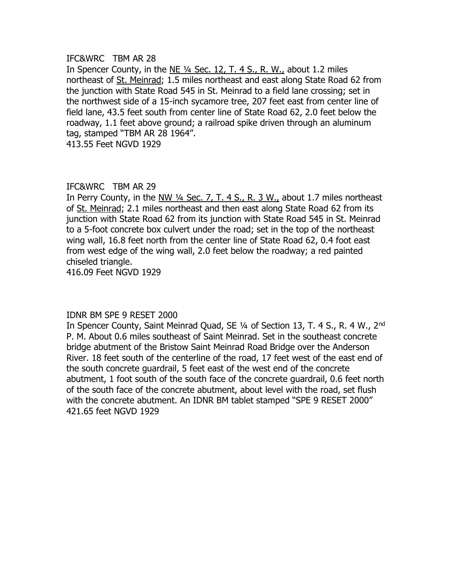In Spencer County, in the NE ¼ Sec. 12, T. 4 S., R. W., about 1.2 miles northeast of St. Meinrad; 1.5 miles northeast and east along State Road 62 from the junction with State Road 545 in St. Meinrad to a field lane crossing; set in the northwest side of a 15-inch sycamore tree, 207 feet east from center line of field lane, 43.5 feet south from center line of State Road 62, 2.0 feet below the roadway, 1.1 feet above ground; a railroad spike driven through an aluminum tag, stamped "TBM AR 28 1964".

413.55 Feet NGVD 1929

# IFC&WRC TBM AR 29

In Perry County, in the NW ¼ Sec. 7, T. 4 S., R. 3 W., about 1.7 miles northeast of St. Meinrad; 2.1 miles northeast and then east along State Road 62 from its junction with State Road 62 from its junction with State Road 545 in St. Meinrad to a 5-foot concrete box culvert under the road; set in the top of the northeast wing wall, 16.8 feet north from the center line of State Road 62, 0.4 foot east from west edge of the wing wall, 2.0 feet below the roadway; a red painted chiseled triangle.

416.09 Feet NGVD 1929

# IDNR BM SPE 9 RESET 2000

In Spencer County, Saint Meinrad Quad, SE 1/4 of Section 13, T. 4 S., R. 4 W., 2<sup>nd</sup> P. M. About 0.6 miles southeast of Saint Meinrad. Set in the southeast concrete bridge abutment of the Bristow Saint Meinrad Road Bridge over the Anderson River. 18 feet south of the centerline of the road, 17 feet west of the east end of the south concrete guardrail, 5 feet east of the west end of the concrete abutment, 1 foot south of the south face of the concrete guardrail, 0.6 feet north of the south face of the concrete abutment, about level with the road, set flush with the concrete abutment. An IDNR BM tablet stamped "SPE 9 RESET 2000" 421.65 feet NGVD 1929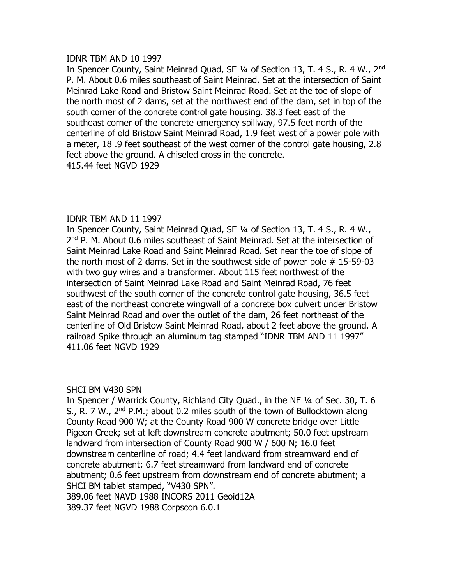#### IDNR TBM AND 10 1997

In Spencer County, Saint Meinrad Quad, SE 1/4 of Section 13, T. 4 S., R. 4 W., 2<sup>nd</sup> P. M. About 0.6 miles southeast of Saint Meinrad. Set at the intersection of Saint Meinrad Lake Road and Bristow Saint Meinrad Road. Set at the toe of slope of the north most of 2 dams, set at the northwest end of the dam, set in top of the south corner of the concrete control gate housing. 38.3 feet east of the southeast corner of the concrete emergency spillway, 97.5 feet north of the centerline of old Bristow Saint Meinrad Road, 1.9 feet west of a power pole with a meter, 18 .9 feet southeast of the west corner of the control gate housing, 2.8 feet above the ground. A chiseled cross in the concrete. 415.44 feet NGVD 1929

# IDNR TBM AND 11 1997

In Spencer County, Saint Meinrad Quad, SE ¼ of Section 13, T. 4 S., R. 4 W., 2<sup>nd</sup> P. M. About 0.6 miles southeast of Saint Meinrad. Set at the intersection of Saint Meinrad Lake Road and Saint Meinrad Road. Set near the toe of slope of the north most of 2 dams. Set in the southwest side of power pole # 15-59-03 with two guy wires and a transformer. About 115 feet northwest of the intersection of Saint Meinrad Lake Road and Saint Meinrad Road, 76 feet southwest of the south corner of the concrete control gate housing, 36.5 feet east of the northeast concrete wingwall of a concrete box culvert under Bristow Saint Meinrad Road and over the outlet of the dam, 26 feet northeast of the centerline of Old Bristow Saint Meinrad Road, about 2 feet above the ground. A railroad Spike through an aluminum tag stamped "IDNR TBM AND 11 1997" 411.06 feet NGVD 1929

# SHCI BM V430 SPN

In Spencer / Warrick County, Richland City Quad., in the NE ¼ of Sec. 30, T. 6 S., R. 7 W., 2<sup>nd</sup> P.M.; about 0.2 miles south of the town of Bullocktown along County Road 900 W; at the County Road 900 W concrete bridge over Little Pigeon Creek; set at left downstream concrete abutment; 50.0 feet upstream landward from intersection of County Road 900 W / 600 N; 16.0 feet downstream centerline of road; 4.4 feet landward from streamward end of concrete abutment; 6.7 feet streamward from landward end of concrete abutment; 0.6 feet upstream from downstream end of concrete abutment; a SHCI BM tablet stamped, "V430 SPN". 389.06 feet NAVD 1988 INCORS 2011 Geoid12A

389.37 feet NGVD 1988 Corpscon 6.0.1